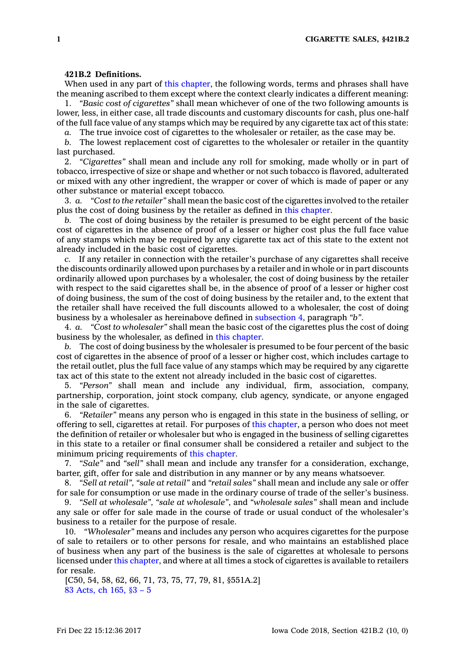## **421B.2 Definitions.**

When used in any part of this [chapter](https://www.legis.iowa.gov/docs/code//421B.pdf), the following words, terms and phrases shall have the meaning ascribed to them except where the context clearly indicates <sup>a</sup> different meaning:

1. *"Basic cost of cigarettes"* shall mean whichever of one of the two following amounts is lower, less, in either case, all trade discounts and customary discounts for cash, plus one-half of the full face value of any stamps which may be required by any cigarette tax act of this state:

*a.* The true invoice cost of cigarettes to the wholesaler or retailer, as the case may be.

*b.* The lowest replacement cost of cigarettes to the wholesaler or retailer in the quantity last purchased.

2. *"Cigarettes"* shall mean and include any roll for smoking, made wholly or in part of tobacco, irrespective of size or shape and whether or not such tobacco is flavored, adulterated or mixed with any other ingredient, the wrapper or cover of which is made of paper or any other substance or material except tobacco.

3. *a. "Cost to the retailer"* shall mean the basic cost of the cigarettes involved to the retailer plus the cost of doing business by the retailer as defined in this [chapter](https://www.legis.iowa.gov/docs/code//421B.pdf).

*b.* The cost of doing business by the retailer is presumed to be eight percent of the basic cost of cigarettes in the absence of proof of <sup>a</sup> lesser or higher cost plus the full face value of any stamps which may be required by any cigarette tax act of this state to the extent not already included in the basic cost of cigarettes.

*c.* If any retailer in connection with the retailer's purchase of any cigarettes shall receive the discounts ordinarily allowed upon purchases by <sup>a</sup> retailer and in whole or in part discounts ordinarily allowed upon purchases by <sup>a</sup> wholesaler, the cost of doing business by the retailer with respect to the said cigarettes shall be, in the absence of proof of <sup>a</sup> lesser or higher cost of doing business, the sum of the cost of doing business by the retailer and, to the extent that the retailer shall have received the full discounts allowed to <sup>a</sup> wholesaler, the cost of doing business by <sup>a</sup> wholesaler as hereinabove defined in [subsection](https://www.legis.iowa.gov/docs/code/421B.2.pdf) 4, paragraph *"b"*.

4. *a. "Cost to wholesaler"* shall mean the basic cost of the cigarettes plus the cost of doing business by the wholesaler, as defined in this [chapter](https://www.legis.iowa.gov/docs/code//421B.pdf).

*b.* The cost of doing business by the wholesaler is presumed to be four percent of the basic cost of cigarettes in the absence of proof of <sup>a</sup> lesser or higher cost, which includes cartage to the retail outlet, plus the full face value of any stamps which may be required by any cigarette tax act of this state to the extent not already included in the basic cost of cigarettes.

5. *"Person"* shall mean and include any individual, firm, association, company, partnership, corporation, joint stock company, club agency, syndicate, or anyone engaged in the sale of cigarettes.

6. *"Retailer"* means any person who is engaged in this state in the business of selling, or offering to sell, cigarettes at retail. For purposes of this [chapter](https://www.legis.iowa.gov/docs/code//421B.pdf), <sup>a</sup> person who does not meet the definition of retailer or wholesaler but who is engaged in the business of selling cigarettes in this state to <sup>a</sup> retailer or final consumer shall be considered <sup>a</sup> retailer and subject to the minimum pricing requirements of this [chapter](https://www.legis.iowa.gov/docs/code//421B.pdf).

7. *"Sale"* and *"sell"* shall mean and include any transfer for <sup>a</sup> consideration, exchange, barter, gift, offer for sale and distribution in any manner or by any means whatsoever.

8. *"Sell at retail", "sale at retail"* and *"retail sales"* shall mean and include any sale or offer for sale for consumption or use made in the ordinary course of trade of the seller's business.

9. *"Sell at wholesale", "sale at wholesale"*, and *"wholesale sales"* shall mean and include any sale or offer for sale made in the course of trade or usual conduct of the wholesaler's business to <sup>a</sup> retailer for the purpose of resale.

10. *"Wholesaler"* means and includes any person who acquires cigarettes for the purpose of sale to retailers or to other persons for resale, and who maintains an established place of business when any part of the business is the sale of cigarettes at wholesale to persons licensed under this [chapter](https://www.legis.iowa.gov/docs/code//421B.pdf), and where at all times <sup>a</sup> stock of cigarettes is available to retailers for resale.

[C50, 54, 58, 62, 66, 71, 73, 75, 77, 79, 81, §551A.2] 83 [Acts,](https://www.legis.iowa.gov/docs/acts/83/CH0165.pdf) ch 165, §3 – 5